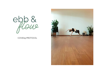ebb &

# COVID19 PROTOCOL